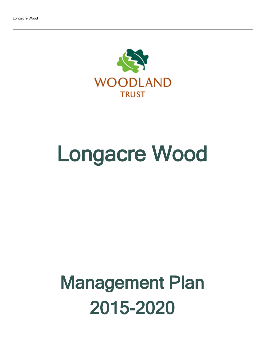

# Longacre Wood

## Management Plan 2015-2020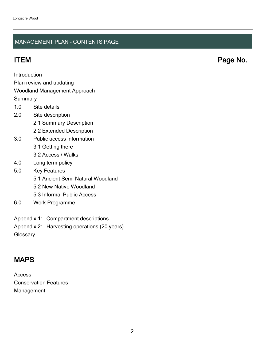#### MANAGEMENT PLAN - CONTENTS PAGE

ITEM Page No.

Introduction

Plan review and updating

#### Woodland Management Approach

**Summary** 

- 1.0 Site details
- 2.0 Site description
	- 2.1 Summary Description
	- 2.2 Extended Description
- 3.0 Public access information
	- 3.1 Getting there
	- 3.2 Access / Walks
- 4.0 Long term policy
- 5.0 Key Features
	- 5.1 Ancient Semi Natural Woodland
	- 5.2 New Native Woodland
	- 5.3 Informal Public Access
- 6.0 Work Programme
- Appendix 1: Compartment descriptions
- Appendix 2: Harvesting operations (20 years)
- **Glossary**

## MAPS

Access Conservation Features Management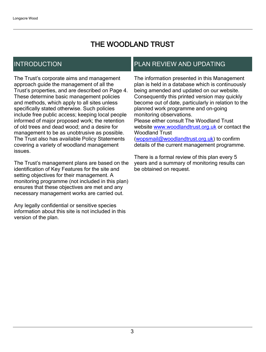## THE WOODLAND TRUST

## INTRODUCTION

The Trust's corporate aims and management approach guide the management of all the Trust's properties, and are described on Page 4. These determine basic management policies and methods, which apply to all sites unless specifically stated otherwise. Such policies include free public access; keeping local people informed of major proposed work; the retention of old trees and dead wood; and a desire for management to be as unobtrusive as possible. The Trust also has available Policy Statements covering a variety of woodland management issues.

The Trust's management plans are based on the identification of Key Features for the site and setting objectives for their management. A monitoring programme (not included in this plan) ensures that these objectives are met and any necessary management works are carried out.

Any legally confidential or sensitive species information about this site is not included in this version of the plan.

### PLAN REVIEW AND UPDATING

The information presented in this Management plan is held in a database which is continuously being amended and updated on our website. Consequently this printed version may quickly become out of date, particularly in relation to the planned work programme and on-going monitoring observations. Please either consult The Woodland Trust website [www.woodlandtrust.org.uk](http://www.woodlandtrust.org.uk/) or contact the Woodland Trust [\(wopsmail@woodlandtrust.org.uk](mailto:wopsmail@woodlandtrust.org.uk)) to confirm

details of the current management programme.

There is a formal review of this plan every 5 years and a summary of monitoring results can be obtained on request.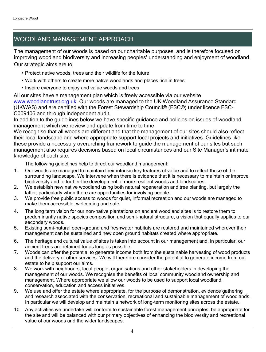## WOODLAND MANAGEMENT APPROACH

The management of our woods is based on our charitable purposes, and is therefore focused on improving woodland biodiversity and increasing peoples' understanding and enjoyment of woodland. Our strategic aims are to:

- Protect native woods, trees and their wildlife for the future
- Work with others to create more native woodlands and places rich in trees
- Inspire everyone to enjoy and value woods and trees

All our sites have a management plan which is freely accessible via our website [www.woodlandtrust.org.uk.](http://www.woodlandtrust.org.uk/) Our woods are managed to the UK Woodland Assurance Standard (UKWAS) and are certified with the Forest Stewardship Council® (FSC®) under licence FSC-C009406 and through independent audit.

In addition to the guidelines below we have specific guidance and policies on issues of woodland management which we review and update from time to time.

We recognise that all woods are different and that the management of our sites should also reflect their local landscape and where appropriate support local projects and initiatives. Guidelines like these provide a necessary overarching framework to guide the management of our sites but such management also requires decisions based on local circumstances and our Site Manager's intimate knowledge of each site.

The following guidelines help to direct our woodland management:

- 1. Our woods are managed to maintain their intrinsic key features of value and to reflect those of the surrounding landscape. We intervene when there is evidence that it is necessary to maintain or improve biodiversity and to further the development of more resilient woods and landscapes.
- 2. We establish new native woodland using both natural regeneration and tree planting, but largely the latter, particularly when there are opportunities for involving people.
- 3. We provide free public access to woods for quiet, informal recreation and our woods are managed to make them accessible, welcoming and safe.
- 4. The long term vision for our non-native plantations on ancient woodland sites is to restore them to predominantly native species composition and semi-natural structure, a vision that equally applies to our secondary woods.
- 5. Existing semi-natural open-ground and freshwater habitats are restored and maintained wherever their management can be sustained and new open ground habitats created where appropriate.
- 6. The heritage and cultural value of sites is taken into account in our management and, in particular, our ancient trees are retained for as long as possible.
- 7. Woods can offer the potential to generate income both from the sustainable harvesting of wood products and the delivery of other services. We will therefore consider the potential to generate income from our estate to help support our aims.
- 8. We work with neighbours, local people, organisations and other stakeholders in developing the management of our woods. We recognise the benefits of local community woodland ownership and management. Where appropriate we allow our woods to be used to support local woodland, conservation, education and access initiatives.
- 9. We use and offer the estate where appropriate, for the purpose of demonstration, evidence gathering and research associated with the conservation, recreational and sustainable management of woodlands. In particular we will develop and maintain a network of long-term monitoring sites across the estate.
- 10 Any activities we undertake will conform to sustainable forest management principles, be appropriate for the site and will be balanced with our primary objectives of enhancing the biodiversity and recreational value of our woods and the wider landscapes.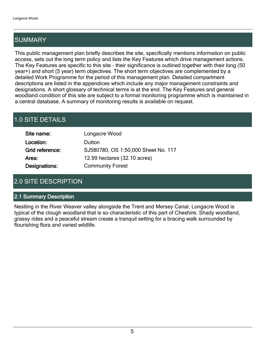## SUMMARY

This public management plan briefly describes the site, specifically mentions information on public access, sets out the long term policy and lists the Key Features which drive management actions. The Key Features are specific to this site - their significance is outlined together with their long (50 year+) and short (5 year) term objectives. The short term objectives are complemented by a detailed Work Programme for the period of this management plan. Detailed compartment descriptions are listed in the appendices which include any major management constraints and designations. A short glossary of technical terms is at the end. The Key Features and general woodland condition of this site are subject to a formal monitoring programme which is maintained in a central database. A summary of monitoring results is available on request.

## 1.0 SITE DETAILS

| Site name:      | Longacre Wood                       |
|-----------------|-------------------------------------|
| Location:       | Dutton                              |
| Grid reference: | SJ580780, OS 1:50,000 Sheet No. 117 |
| Area:           | 12.99 hectares (32.10 acres)        |
| Designations:   | <b>Community Forest</b>             |

## 2.0 SITE DESCRIPTION

#### 2.1 Summary Description

Nestling in the River Weaver valley alongside the Trent and Mersey Canal, Longacre Wood is typical of the clough woodland that is so characteristic of this part of Cheshire. Shady woodland, grassy rides and a peaceful stream create a tranquil setting for a bracing walk surrounded by flourishing flora and varied wildlife.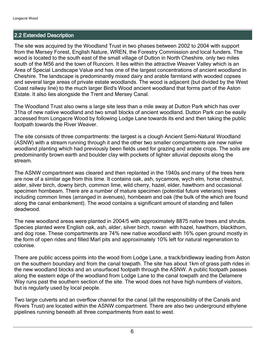#### 2.2 Extended Description

The site was acquired by the Woodland Trust in two phases between 2002 to 2004 with support from the Mersey Forest, English Nature, WREN, the Forestry Commission and local funders. The wood is located to the south east of the small village of Dutton in North Cheshire, only two miles south of the M56 and the town of Runcorn. It lies within the attractive Weaver Valley which is an Area of Special Landscape Value and has one of the largest concentrations of ancient woodland in Cheshire. The landscape is predominantly mixed dairy and arable farmland with wooded copses and several large areas of private estate woodlands. The wood is adjacent (but divided by the West Coast railway line) to the much larger Bird's Wood ancient woodland that forms part of the Aston Estate. It also lies alongside the Trent and Mersey Canal.

The Woodland Trust also owns a large site less than a mile away at Dutton Park which has over 31ha of new native woodland and two small blocks of ancient woodland. Dutton Park can be easily accessed from Longacre Wood by following Lodge Lane towards its end and then taking the public footpath towards the River Weaver.

The site consists of three compartments: the largest is a clough Ancient Semi-Natural Woodland (ASNW) with a stream running through it and the other two smaller compartments are new native woodland planting which had previously been fields used for grazing and arable crops. The soils are predominantly brown earth and boulder clay with pockets of lighter alluvial deposits along the stream.

The ASNW compartment was cleared and then replanted in the 1940s and many of the trees here are now of a similar age from this time. It contains oak, ash, sycamore, wych elm, horse chestnut, alder, silver birch, downy birch, common lime, wild cherry, hazel, elder, hawthorn and occasional specimen hornbeam. There are a number of mature specimen (potential future veterans) trees including common limes (arranged in avenues), hornbeam and oak (the bulk of the which are found along the canal embankment). The wood contains a significant amount of standing and fallen deadwood.

The new woodland areas were planted in 2004/5 with approximately 8875 native trees and shrubs. Species planted were English oak, ash, alder, silver birch, rowan with hazel, hawthorn, blackthorn, and dog rose. These compartments are 74% new native woodland with 16% open ground mostly in the form of open rides and filled Marl pits and approximately 10% left for natural regeneration to colonise.

There are public access points into the wood from Lodge Lane, a track/bridleway leading from Aston on the southern boundary and from the canal towpath. The site has about 1km of grass path rides in the new woodland blocks and an unsurfaced footpath through the ASNW. A public footpath passes along the eastern edge of the woodland from Lodge Lane to the canal towpath and the Delamere Way runs past the southern section of the site. The wood does not have high numbers of visitors, but is regularly used by local people.

Two large culverts and an overflow channel for the canal (all the responsibility of the Canals and Rivers Trust) are located within the ASNW compartment. There are also two underground ethylene pipelines running beneath all three compartments from east to west.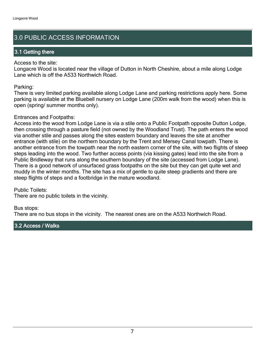## 3.0 PUBLIC ACCESS INFORMATION

#### 3.1 Getting there

#### Access to the site:

Longacre Wood is located near the village of Dutton in North Cheshire, about a mile along Lodge Lane which is off the A533 Northwich Road.

#### Parking:

There is very limited parking available along Lodge Lane and parking restrictions apply here. Some parking is available at the Bluebell nursery on Lodge Lane (200m walk from the wood) when this is open (spring/ summer months only).

#### Entrances and Footpaths:

Access into the wood from Lodge Lane is via a stile onto a Public Footpath opposite Dutton Lodge, then crossing through a pasture field (not owned by the Woodland Trust). The path enters the wood via another stile and passes along the sites eastern boundary and leaves the site at another entrance (with stile) on the northern boundary by the Trent and Mersey Canal towpath. There is another entrance from the towpath near the north eastern corner of the site, with two flights of steep steps leading into the wood. Two further access points (via kissing gates) lead into the site from a Public Bridleway that runs along the southern boundary of the site (accessed from Lodge Lane). There is a good network of unsurfaced grass footpaths on the site but they can get quite wet and muddy in the winter months. The site has a mix of gentle to quite steep gradients and there are steep flights of steps and a footbridge in the mature woodland.

Public Toilets:

There are no public toilets in the vicinity.

#### Bus stops:

There are no bus stops in the vicinity. The nearest ones are on the A533 Northwich Road.

#### 3.2 Access / Walks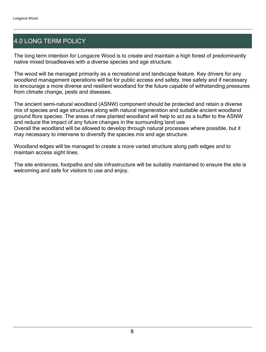## 4.0 LONG TERM POLICY

The long term intention for Longacre Wood is to create and maintain a high forest of predominantly native mixed broadleaves with a diverse species and age structure.

The wood will be managed primarily as a recreational and landscape feature. Key drivers for any woodland management operations will be for public access and safety, tree safety and if necessary to encourage a more diverse and resilient woodland for the future capable of withstanding pressures from climate change, pests and diseases.

The ancient semi-natural woodland (ASNW) component should be protected and retain a diverse mix of species and age structures along with natural regeneration and suitable ancient woodland ground flora species. The areas of new planted woodland will help to act as a buffer to the ASNW and reduce the impact of any future changes in the surrounding land use.

Overall the woodland will be allowed to develop through natural processes where possible, but it may necessary to intervene to diversify the species mix and age structure.

Woodland edges will be managed to create a more varied structure along path edges and to maintain access sight lines.

The site entrances, footpaths and site infrastructure will be suitably maintained to ensure the site is welcoming and safe for visitors to use and enjoy.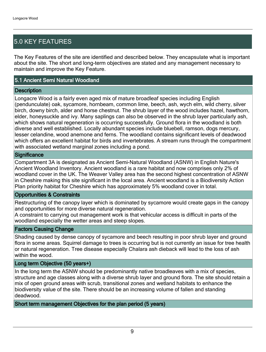## 5.0 KEY FEATURES

The Key Features of the site are identified and described below. They encapsulate what is important about the site. The short and long-term objectives are stated and any management necessary to maintain and improve the Key Feature.

#### 5.1 Ancient Semi Natural Woodland

#### **Description**

Longacre Wood is a fairly even aged mix of mature broadleaf species including English (pendunculate) oak, sycamore, hornbeam, common lime, beech, ash, wych elm, wild cherry, silver birch, downy birch, alder and horse chestnut. The shrub layer of the wood includes hazel, hawthorn, elder, honeysuckle and ivy. Many saplings can also be observed in the shrub layer particularly ash, which shows natural regeneration is occurring successfully. Ground flora in the woodland is both diverse and well established. Locally abundant species include bluebell, ramson, dogs mercury, lesser celandine, wood anemone and ferns. The woodland contains significant levels of deadwood which offers an excellent habitat for birds and invertebrates. A stream runs through the compartment with associated wetland marginal zones including a pond.

#### **Significance**

Compartment 3A is designated as Ancient Semi-Natural Woodland (ASNW) in English Nature's Ancient Woodland Inventory. Ancient woodland is a rare habitat and now comprises only 2% of woodland cover in the UK. The Weaver Valley area has the second highest concentration of ASNW in Cheshire making this site significant in the local area. Ancient woodland is a Biodiversity Action Plan priority habitat for Cheshire which has approximately 5% woodland cover in total.

#### Opportunities & Constraints

Restructuring of the canopy layer which is dominated by sycamore would create gaps in the canopy and opportunities for more diverse natural regeneration.

A constraint to carrying out management work is that vehicular access is difficult in parts of the woodland especially the wetter areas and steep slopes.

#### Factors Causing Change

Shading caused by dense canopy of sycamore and beech resulting in poor shrub layer and ground flora in some areas. Squirrel damage to trees is occurring but is not currently an issue for tree health or natural regeneration. Tree disease especially Chalara ash dieback will lead to the loss of ash within the wood.

#### Long term Objective (50 years+)

In the long term the ASNW should be predominantly native broadleaves with a mix of species, structure and age classes along with a diverse shrub layer and ground flora. The site should retain a mix of open ground areas with scrub, transitional zones and wetland habitats to enhance the biodiversity value of the site. There should be an increasing volume of fallen and standing deadwood.

Short term management Objectives for the plan period (5 years)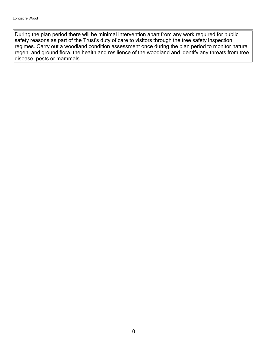During the plan period there will be minimal intervention apart from any work required for public safety reasons as part of the Trust's duty of care to visitors through the tree safety inspection regimes. Carry out a woodland condition assessment once during the plan period to monitor natural regen. and ground flora, the health and resilience of the woodland and identify any threats from tree disease, pests or mammals.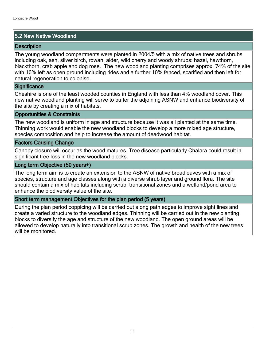#### 5.2 New Native Woodland

#### **Description**

The young woodland compartments were planted in 2004/5 with a mix of native trees and shrubs including oak, ash, silver birch, rowan, alder, wild cherry and woody shrubs: hazel, hawthorn, blackthorn, crab apple and dog rose. The new woodland planting comprises approx. 74% of the site with 16% left as open ground including rides and a further 10% fenced, scarified and then left for natural regeneration to colonise.

#### **Significance**

Cheshire is one of the least wooded counties in England with less than 4% woodland cover. This new native woodland planting will serve to buffer the adjoining ASNW and enhance biodiversity of the site by creating a mix of habitats.

#### Opportunities & Constraints

The new woodland is uniform in age and structure because it was all planted at the same time. Thinning work would enable the new woodland blocks to develop a more mixed age structure, species composition and help to increase the amount of deadwood habitat.

#### Factors Causing Change

Canopy closure will occur as the wood matures. Tree disease particularly Chalara could result in significant tree loss in the new woodland blocks.

#### Long term Objective (50 years+)

The long term aim is to create an extension to the ASNW of native broadleaves with a mix of species, structure and age classes along with a diverse shrub layer and ground flora. The site should contain a mix of habitats including scrub, transitional zones and a wetland/pond area to enhance the biodiversity value of the site.

#### Short term management Objectives for the plan period (5 years)

During the plan period coppicing will be carried out along path edges to improve sight lines and create a varied structure to the woodland edges. Thinning will be carried out in the new planting blocks to diversify the age and structure of the new woodland. The open ground areas will be allowed to develop naturally into transitional scrub zones. The growth and health of the new trees will be monitored.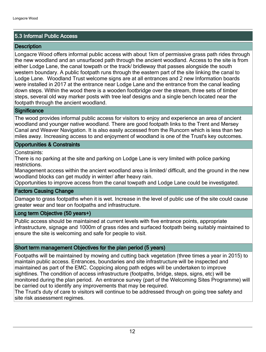#### 5.3 Informal Public Access

#### **Description**

Longacre Wood offers informal public access with about 1km of permissive grass path rides through the new woodland and an unsurfaced path through the ancient woodland. Access to the site is from either Lodge Lane, the canal towpath or the track/ bridleway that passes alongside the south western boundary. A public footpath runs through the eastern part of the site linking the canal to Lodge Lane. Woodland Trust welcome signs are at all entrances and 2 new Information boards were installed in 2017 at the entrance near Lodge Lane and the entrance from the canal leading down steps. Within the wood there is a wooden footbridge over the stream, three sets of timber steps, several old way marker posts with tree leaf designs and a single bench located near the footpath through the ancient woodland.

#### **Significance**

The wood provides informal public access for visitors to enjoy and experience an area of ancient woodland and younger native woodland. There are good footpath links to the Trent and Mersey Canal and Weaver Navigation. It is also easily accessed from the Runcorn which is less than two miles away. Increasing access to and enjoyment of woodland is one of the Trust's key outcomes.

#### Opportunities & Constraints

Constraints:

There is no parking at the site and parking on Lodge Lane is very limited with police parking restrictions.

Management access within the ancient woodland area is limited/ difficult, and the ground in the new woodland blocks can get muddy in winter/ after heavy rain.

Opportunities to improve access from the canal towpath and Lodge Lane could be investigated.

#### Factors Causing Change

Damage to grass footpaths when it is wet. Increase in the level of public use of the site could cause greater wear and tear on footpaths and infrastructure.

#### Long term Objective (50 years+)

Public access should be maintained at current levels with five entrance points, appropriate infrastructure, signage and 1000m of grass rides and surfaced footpath being suitably maintained to ensure the site is welcoming and safe for people to visit.

#### Short term management Objectives for the plan period (5 years)

Footpaths will be maintained by mowing and cutting back vegetation (three times a year in 2015) to maintain public access. Entrances, boundaries and site infrastructure will be inspected and maintained as part of the EMC. Coppicing along path edges will be undertaken to improve sightlines. The condition of access infrastructure (footpaths, bridge, steps, signs, etc) will be monitored during the plan period. An entrance survey (part of the Welcoming Sites Programme) will be carried out to identify any improvements that may be required.

The Trust's duty of care to visitors will continue to be addressed through on going tree safety and site risk assessment regimes.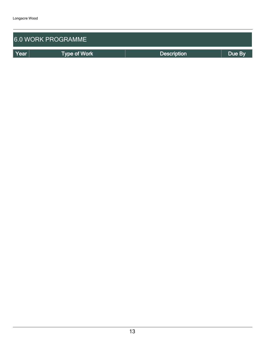| <b>6.0 WORK PROGRAMME</b> |                     |                    |        |  |  |
|---------------------------|---------------------|--------------------|--------|--|--|
| Year                      | <b>Type of Work</b> | <b>Description</b> | Due By |  |  |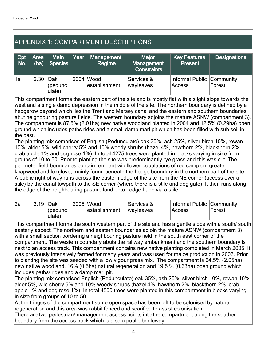## APPENDIX 1: COMPARTMENT DESCRIPTIONS

| Cpt<br>No. | Area<br>(ha) | <b>Main</b><br><b>Species</b> | Year | <b>Management</b><br>Regime | <b>Major</b><br>Management<br><b>Constraints</b> | <b>Key Features</b><br><b>Present</b> | <b>Designations</b> |
|------------|--------------|-------------------------------|------|-----------------------------|--------------------------------------------------|---------------------------------------|---------------------|
| 1a         | 2.30 Oak     | (pedunc<br>ulate)             |      | 2004 Wood<br>establishment  | Services &<br>wayleaves                          | Informal Public Community<br>Access   | Forest              |

This compartment forms the eastern part of the site and is mostly flat with a slight slope towards the west and a single damp depression in the middle of the site. The northern boundary is defined by a hedgerow beyond which lies the Trent and Mersey canal and the eastern and southern boundaries abut neighbouring pasture fields. The western boundary adjoins the mature ASNW (compartment 3). The compartment is 87.5% (2.01ha) new native woodland planted in 2004 and 12.5% (0.29ha) open ground which includes paths rides and a small damp marl pit which has been filled with sub soil in the past.

The planting mix comprises of English (Pedunculate) oak 35%, ash 25%, silver birch 10%, rowan 10%, alder 5%, wild cherry 5% and 10% woody shrubs (hazel 4%, hawthorn 2%, blackthorn 2%, crab apple 1% and dog rose 1%). In total 4275 trees were planted in blocks varying in size from groups of 10 to 50. Prior to planting the site was predominantly rye grass and this was cut. The perimeter field boundaries contain remnant wildflower populations of red campion, greater knapweed and foxglove, mainly found beneath the hedge boundary in the northern part of the site. A public right of way runs across the eastern edge of the site from the NE corner (access over a stile) by the canal towpath to the SE corner (where there is a stile and dog gate). It then runs along the edge of the neighbouring pasture land onto Lodge Lane via a stile.

| l2a | 3.19 | Oak<br>l(pedunc<br>ulate) | 2005 Wood<br>lestablishment | ∣Services &<br><i><b>Iwavleaves</b></i> | Informal Public Community<br>Access | Forest |
|-----|------|---------------------------|-----------------------------|-----------------------------------------|-------------------------------------|--------|
|     |      |                           |                             |                                         |                                     |        |

This compartment forms the south western part of the site and has a gentle slope with a south/ south easterly aspect. The northern and eastern boundaries adjoin the mature ASNW (compartment 3) with a small section bordering a neighbouring pasture field in the south east corner of the compartment. The western boundary abuts the railway embankment and the southern boundary is next to an access track. This compartment contains new native planting completed in March 2005. It was previously intensively farmed for many years and was used for maize production in 2003. Prior to planting the site was seeded with a low vigour grass mix. The compartment is 64.5% (2.05ha) new native woodland, 16% (0.5ha) natural regeneration and 19.5 % (0.63ha) open ground which includes paths/ rides and a damp marl pit.

The planting mix comprised English (Pedunculate) oak 35%, ash 25%, silver birch 10%, rowan 10%, alder 5%, wild cherry 5% and 10% woody shrubs (hazel 4%, hawthorn 2%, blackthorn 2%, crab apple 1% and dog rose 1%). In total 4500 trees were planted in this compartment in blocks varying in size from groups of 10 to 50.

At the fringes of the compartment some open space has been left to be colonised by natural regeneration and this area was rabbit fenced and scarified to assist colonisation.

There are two pedestrian/ management access points into the compartment along the southern boundary from the access track which is also a public bridleway.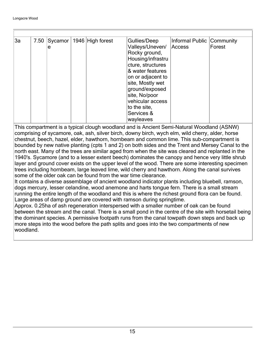| 3a |   | 7.50 Sycamor   1946 High forest | Gullies/Deep      | Informal Public Community |        |
|----|---|---------------------------------|-------------------|---------------------------|--------|
|    | е |                                 | Valleys/Uneven/   | Access                    | Forest |
|    |   |                                 | Rocky ground,     |                           |        |
|    |   |                                 | Housing/infrastru |                           |        |
|    |   |                                 | cture, structures |                           |        |
|    |   |                                 | & water features  |                           |        |
|    |   |                                 | on or adjacent to |                           |        |
|    |   |                                 | site, Mostly wet  |                           |        |
|    |   |                                 | ground/exposed    |                           |        |
|    |   |                                 | site, No/poor     |                           |        |
|    |   |                                 | vehicular access  |                           |        |
|    |   |                                 | to the site,      |                           |        |
|    |   |                                 | Services &        |                           |        |
|    |   |                                 | wayleaves         |                           |        |

This compartment is a typical clough woodland and is Ancient Semi-Natural Woodland (ASNW) comprising of sycamore, oak, ash, silver birch, downy birch, wych elm, wild cherry, alder, horse chestnut, beech, hazel, elder, hawthorn, hornbeam and common lime. This sub-compartment is bounded by new native planting (cpts 1 and 2) on both sides and the Trent and Mersey Canal to the north east. Many of the trees are similar aged from when the site was cleared and replanted in the 1940's. Sycamore (and to a lesser extent beech) dominates the canopy and hence very little shrub layer and ground cover exists on the upper level of the wood. There are some interesting specimen trees including hornbeam, large leaved lime, wild cherry and hawthorn. Along the canal survives some of the older oak can be found from the war time clearance.

It contains a diverse assemblage of ancient woodland indicator plants including bluebell, ramson, dogs mercury, lesser celandine, wood anemone and harts tongue fern. There is a small stream running the entire length of the woodland and this is where the richest ground flora can be found. Large areas of damp ground are covered with ramson during springtime.

Approx. 0.25ha of ash regeneration interspersed with a smaller number of oak can be found between the stream and the canal. There is a small pond in the centre of the site with horsetail being the dominant species. A permissive footpath runs from the canal towpath down steps and back up more steps into the wood before the path splits and goes into the two compartments of new woodland.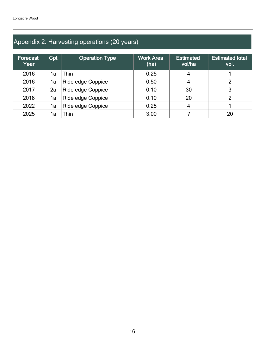## Appendix 2: Harvesting operations (20 years)

| <b>Forecast</b><br>Year | Cpt | <b>Operation Type</b>    | <b>Work Area</b><br>(ha) | <b>Estimated</b><br>vol/ha | <b>Estimated total</b><br>vol. |
|-------------------------|-----|--------------------------|--------------------------|----------------------------|--------------------------------|
| 2016                    | 1a  | Thin                     | 0.25                     | 4                          |                                |
| 2016                    | 1a  | Ride edge Coppice        | 0.50                     | 4                          |                                |
| 2017                    | 2a  | <b>Ride edge Coppice</b> | 0.10                     | 30                         | 3                              |
| 2018                    | 1a  | Ride edge Coppice        | 0.10                     | 20                         |                                |
| 2022                    | 1a  | Ride edge Coppice        | 0.25                     | 4                          |                                |
| 2025                    | 1a  | Thin                     | 3.00                     |                            | 20                             |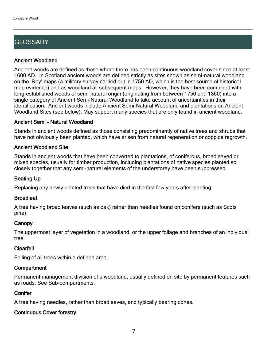## **GLOSSARY**

#### Ancient Woodland

Ancient woods are defined as those where there has been continuous woodland cover since at least 1600 AD. In Scotland ancient woods are defined strictly as sites shown as semi-natural woodland on the 'Roy' maps (a military survey carried out in 1750 AD, which is the best source of historical map evidence) and as woodland all subsequent maps. However, they have been combined with long-established woods of semi-natural origin (originating from between 1750 and 1860) into a single category of Ancient Semi-Natural Woodland to take account of uncertainties in their identification. Ancient woods include Ancient Semi-Natural Woodland and plantations on Ancient Woodland Sites (see below). May support many species that are only found in ancient woodland.

#### Ancient Semi - Natural Woodland

Stands in ancient woods defined as those consisting predominantly of native trees and shrubs that have not obviously been planted, which have arisen from natural regeneration or coppice regrowth.

#### Ancient Woodland Site

Stands in ancient woods that have been converted to plantations, of coniferous, broadleaved or mixed species, usually for timber production, including plantations of native species planted so closely together that any semi-natural elements of the understorey have been suppressed.

#### Beating Up

Replacing any newly planted trees that have died in the first few years after planting.

#### **Broadleaf**

A tree having broad leaves (such as oak) rather than needles found on conifers (such as Scots pine).

#### **Canopy**

The uppermost layer of vegetation in a woodland, or the upper foliage and branches of an individual tree.

#### Clearfell

Felling of all trees within a defined area.

#### **Compartment**

Permanent management division of a woodland, usually defined on site by permanent features such as roads. See Sub-compartments.

#### **Conifer**

A tree having needles, rather than broadleaves, and typically bearing cones.

### Continuous Cover forestry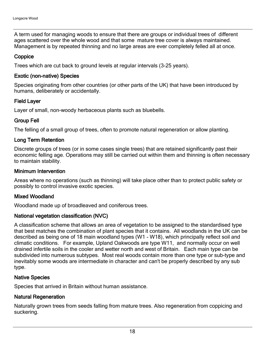A term used for managing woods to ensure that there are groups or individual trees of different ages scattered over the whole wood and that some mature tree cover is always maintained. Management is by repeated thinning and no large areas are ever completely felled all at once.

#### **Coppice**

Trees which are cut back to ground levels at regular intervals (3-25 years).

#### Exotic (non-native) Species

Species originating from other countries (or other parts of the UK) that have been introduced by humans, deliberately or accidentally.

#### Field Layer

Layer of small, non-woody herbaceous plants such as bluebells.

#### Group Fell

The felling of a small group of trees, often to promote natural regeneration or allow planting.

#### Long Term Retention

Discrete groups of trees (or in some cases single trees) that are retained significantly past their economic felling age. Operations may still be carried out within them and thinning is often necessary to maintain stability.

#### Minimum Intervention

Areas where no operations (such as thinning) will take place other than to protect public safety or possibly to control invasive exotic species.

#### Mixed Woodland

Woodland made up of broadleaved and coniferous trees.

#### National vegetation classification (NVC)

A classification scheme that allows an area of vegetation to be assigned to the standardised type that best matches the combination of plant species that it contains. All woodlands in the UK can be described as being one of 18 main woodland types (W1 - W18), which principally reflect soil and climatic conditions. For example, Upland Oakwoods are type W11, and normally occur on well drained infertile soils in the cooler and wetter north and west of Britain. Each main type can be subdivided into numerous subtypes. Most real woods contain more than one type or sub-type and inevitably some woods are intermediate in character and can't be properly described by any sub type.

#### Native Species

Species that arrived in Britain without human assistance.

#### Natural Regeneration

Naturally grown trees from seeds falling from mature trees. Also regeneration from coppicing and suckering.